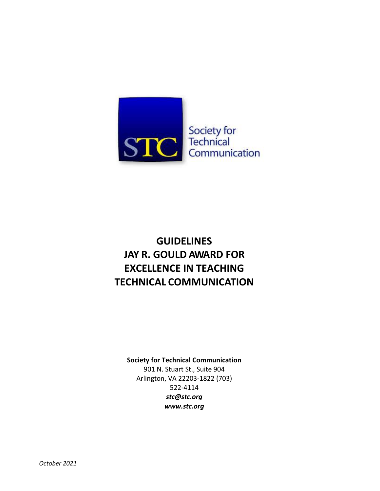

## **GUIDELINES JAY R. GOULD AWARD FOR EXCELLENCE IN TEACHING TECHNICAL COMMUNICATION**

#### **Society for Technical Communication**

901 N. Stuart St., Suite 904 Arlington, VA 22203-1822 (703) 522-4114 *[stc@stc.org](mailto:stc@stc.org) www.stc.org*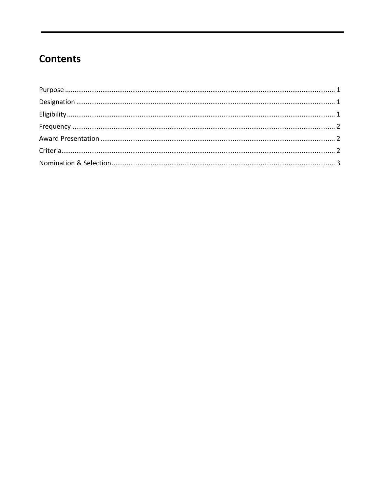## **Contents**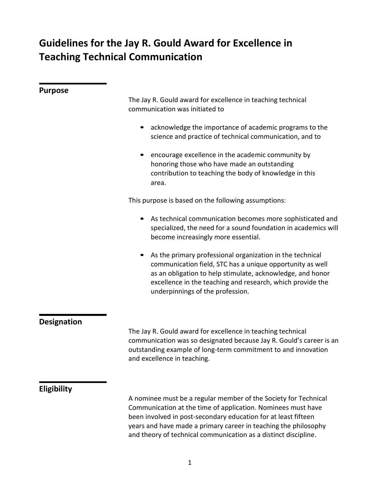# **Guidelines for the Jay R. Gould Award for Excellence in Teaching Technical Communication**

<span id="page-2-2"></span><span id="page-2-1"></span><span id="page-2-0"></span>

| <b>Purpose</b>     |                                                                                                                                                                                                                                                                                                                                         |
|--------------------|-----------------------------------------------------------------------------------------------------------------------------------------------------------------------------------------------------------------------------------------------------------------------------------------------------------------------------------------|
|                    | The Jay R. Gould award for excellence in teaching technical<br>communication was initiated to                                                                                                                                                                                                                                           |
|                    | acknowledge the importance of academic programs to the<br>science and practice of technical communication, and to                                                                                                                                                                                                                       |
|                    | encourage excellence in the academic community by<br>honoring those who have made an outstanding<br>contribution to teaching the body of knowledge in this<br>area.                                                                                                                                                                     |
|                    | This purpose is based on the following assumptions:                                                                                                                                                                                                                                                                                     |
|                    | As technical communication becomes more sophisticated and<br>specialized, the need for a sound foundation in academics will<br>become increasingly more essential.                                                                                                                                                                      |
|                    | As the primary professional organization in the technical<br>communication field, STC has a unique opportunity as well<br>as an obligation to help stimulate, acknowledge, and honor<br>excellence in the teaching and research, which provide the<br>underpinnings of the profession.                                                  |
| <b>Designation</b> |                                                                                                                                                                                                                                                                                                                                         |
|                    | The Jay R. Gould award for excellence in teaching technical<br>communication was so designated because Jay R. Gould's career is an<br>outstanding example of long-term commitment to and innovation<br>and excellence in teaching.                                                                                                      |
|                    |                                                                                                                                                                                                                                                                                                                                         |
| <b>Eligibility</b> | A nominee must be a regular member of the Society for Technical<br>Communication at the time of application. Nominees must have<br>been involved in post-secondary education for at least fifteen<br>years and have made a primary career in teaching the philosophy<br>and theory of technical communication as a distinct discipline. |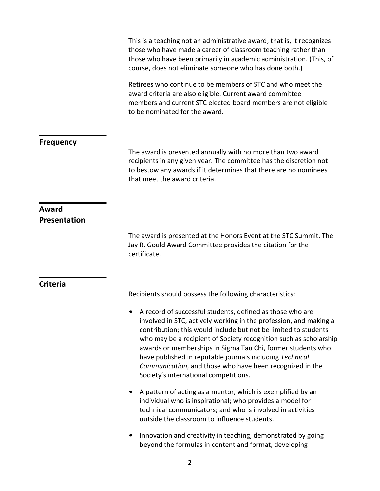This is a teaching not an administrative award; that is, it recognizes those who have made a career of classroom teaching rather than those who have been primarily in academic administration. (This, of course, does not eliminate someone who has done both.)

Retirees who continue to be members of STC and who meet the award criteria are also eligible. Current award committee members and current STC elected board members are not eligible to be nominated for the award.

#### <span id="page-3-0"></span>**Frequency**

The award is presented annually with no more than two award recipients in any given year. The committee has the discretion not to bestow any awards if it determines that there are no nominees that meet the award criteria.

### <span id="page-3-1"></span>**Award Presentation**

The award is presented at the Honors Event at the STC Summit. The Jay R. Gould Award Committee provides the citation for the certificate.

#### <span id="page-3-2"></span>**Criteria**

Recipients should possess the following characteristics:

- A record of successful students, defined as those who are involved in STC, actively working in the profession, and making a contribution; this would include but not be limited to students who may be a recipient of Society recognition such as scholarship awards or memberships in Sigma Tau Chi, former students who have published in reputable journals including *Technical Communication*, and those who have been recognized in the Society's international competitions.
- A pattern of acting as a mentor, which is exemplified by an individual who is inspirational; who provides a model for technical communicators; and who is involved in activities outside the classroom to influence students.
- Innovation and creativity in teaching, demonstrated by going beyond the formulas in content and format, developing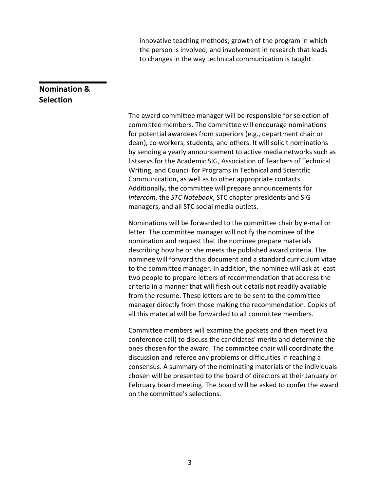innovative teaching methods; growth of the program in which the person is involved; and involvement in research that leads to changes in the way technical communication is taught.

## <span id="page-4-0"></span>**Nomination & Selection**

The award committee manager will be responsible for selection of committee members. The committee will encourage nominations for potential awardees from superiors (e.g., department chair or dean), co-workers, students, and others. It will solicit nominations by sending a yearly announcement to active media networks such as listservs for the Academic SIG, Association of Teachers of Technical Writing, and Council for Programs in Technical and Scientific Communication, as well as to other appropriate contacts. Additionally, the committee will prepare announcements for *Intercom*, the *STC Notebook*, STC chapter presidents and SIG managers, and all STC social media outlets.

Nominations will be forwarded to the committee chair by e-mail or letter. The committee manager will notify the nominee of the nomination and request that the nominee prepare materials describing how he or she meets the published award criteria. The nominee will forward this document and a standard curriculum vitae to the committee manager. In addition, the nominee will ask at least two people to prepare letters of recommendation that address the criteria in a manner that will flesh out details not readily available from the resume. These letters are to be sent to the committee manager directly from those making the recommendation. Copies of all this material will be forwarded to all committee members.

Committee members will examine the packets and then meet (via conference call) to discuss the candidates' merits and determine the ones chosen for the award. The committee chair will coordinate the discussion and referee any problems or difficulties in reaching a consensus. A summary of the nominating materials of the individuals chosen will be presented to the board of directors at their January or February board meeting. The board will be asked to confer the award on the committee's selections.